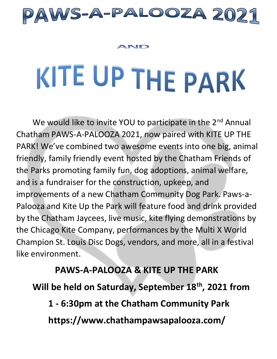

#### AND

# KITE UP THE PARK

We would like to invite YOU to participate in the 2<sup>nd</sup> Annual Chatham PAWS-A-PALOOZA 2021, now paired with KITE UP THE PARK! We've combined two awesome events into one big, animal friendly, family friendly event hosted by the Chatham Friends of the Parks promoting family fun, dog adoptions, animal welfare, and is a fundraiser for the construction, upkeep, and improvements of a new Chatham Community Dog Park. Paws-a-Palooza and Kite Up the Park will feature food and drink provided by the Chatham Jaycees, live music, kite flying demonstrations by the Chicago Kite Company, performances by the Multi X World Champion St. Louis Disc Dogs, vendors, and more, all in a festival like environment.

 **PAWS-A-PALOOZA & KITE UP THE PARK Will be held on Saturday, September 18th, 2021 from 1 - 6:30pm at the Chatham Community Park https://www.chathampawsapalooza.com/**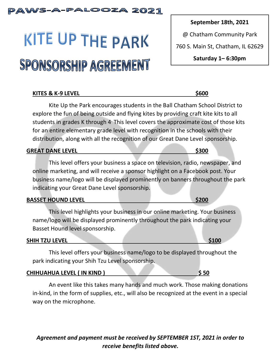# PAWS-A-PALOOZA 2021

# KITE UP THE PARK SPONSORSHIP AGREEMENT

# **KITES & K-9 LEVEL** \$600

Kite Up the Park encourages students in the Ball Chatham School District to explore the fun of being outside and flying kites by providing craft kite kits to all students in grades K through 4. This level covers the approximate cost of those kits for an entire elementary grade level with recognition in the schools with their distribution, along with all the recognition of our Great Dane Level sponsorship.

# **GREAT DANE LEVEL** \$300

This level offers your business a space on television, radio, newspaper, and online marketing, and will receive a sponsor highlight on a Facebook post. Your business name/logo will be displayed prominently on banners throughout the park indicating your Great Dane Level sponsorship.

# **BASSET HOUND LEVEL \$200**

This level highlights your business in our online marketing. Your business name/logo will be displayed prominently throughout the park indicating your Basset Hound level sponsorship.

# **SHIH TZU LEVEL** \$100

This level offers your business name/logo to be displayed throughout the park indicating your Shih Tzu Level sponsorship.

# **CHIHUAHUA LEVEL ( IN KIND ) \$ 50**

An event like this takes many hands and much work. Those making donations in-kind, in the form of supplies, etc., will also be recognized at the event in a special way on the microphone.

# *Agreement and payment must be received by SEPTEMBER 1ST, 2021 in order to receive benefits listed above.*

**September 18th, 2021**

@ Chatham Community Park

760 S. Main St, Chatham, IL 62629

**Saturday 1– 6:30pm**